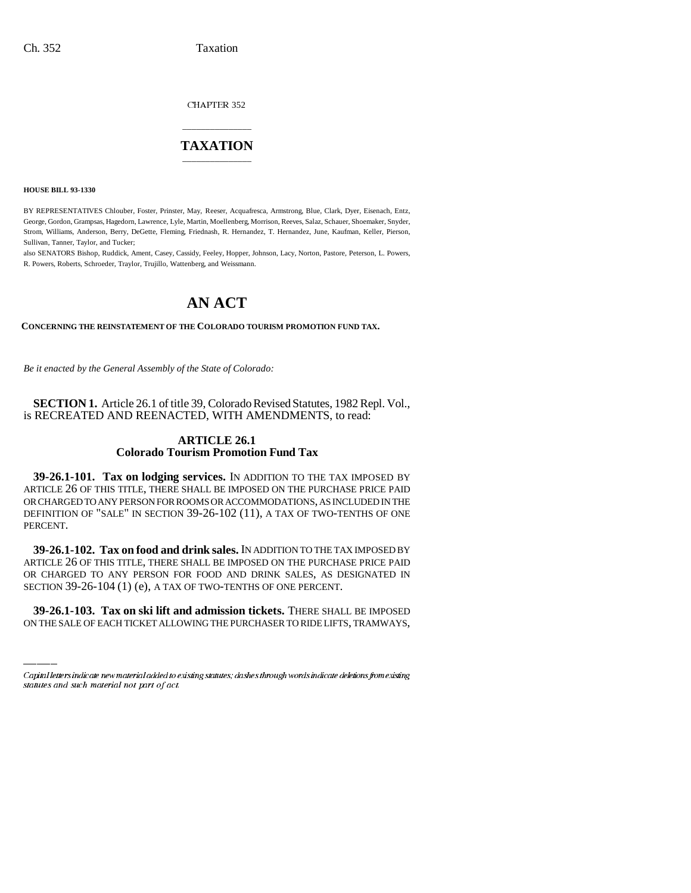CHAPTER 352

## \_\_\_\_\_\_\_\_\_\_\_\_\_\_\_ **TAXATION** \_\_\_\_\_\_\_\_\_\_\_\_\_\_\_

**HOUSE BILL 93-1330**

BY REPRESENTATIVES Chlouber, Foster, Prinster, May, Reeser, Acquafresca, Armstrong, Blue, Clark, Dyer, Eisenach, Entz, George, Gordon, Grampsas, Hagedorn, Lawrence, Lyle, Martin, Moellenberg, Morrison, Reeves, Salaz, Schauer, Shoemaker, Snyder, Strom, Williams, Anderson, Berry, DeGette, Fleming, Friednash, R. Hernandez, T. Hernandez, June, Kaufman, Keller, Pierson, Sullivan, Tanner, Taylor, and Tucker;

also SENATORS Bishop, Ruddick, Ament, Casey, Cassidy, Feeley, Hopper, Johnson, Lacy, Norton, Pastore, Peterson, L. Powers, R. Powers, Roberts, Schroeder, Traylor, Trujillo, Wattenberg, and Weissmann.

# **AN ACT**

**CONCERNING THE REINSTATEMENT OF THE COLORADO TOURISM PROMOTION FUND TAX.**

*Be it enacted by the General Assembly of the State of Colorado:*

**SECTION 1.** Article 26.1 of title 39, Colorado Revised Statutes, 1982 Repl. Vol., is RECREATED AND REENACTED, WITH AMENDMENTS, to read:

### **ARTICLE 26.1 Colorado Tourism Promotion Fund Tax**

**39-26.1-101. Tax on lodging services.** IN ADDITION TO THE TAX IMPOSED BY ARTICLE 26 OF THIS TITLE, THERE SHALL BE IMPOSED ON THE PURCHASE PRICE PAID OR CHARGED TO ANY PERSON FOR ROOMS OR ACCOMMODATIONS, AS INCLUDED IN THE DEFINITION OF "SALE" IN SECTION 39-26-102 (11), A TAX OF TWO-TENTHS OF ONE PERCENT.

or charged to any person for food and drink sales, as d<br>section 39-26-104 (1) (e), a tax of two-tenths of one percent. **39-26.1-102. Tax on food and drink sales.** IN ADDITION TO THE TAX IMPOSED BY ARTICLE 26 OF THIS TITLE, THERE SHALL BE IMPOSED ON THE PURCHASE PRICE PAID OR CHARGED TO ANY PERSON FOR FOOD AND DRINK SALES, AS DESIGNATED IN

**39-26.1-103. Tax on ski lift and admission tickets.** THERE SHALL BE IMPOSED ON THE SALE OF EACH TICKET ALLOWING THE PURCHASER TO RIDE LIFTS, TRAMWAYS,

Capital letters indicate new material added to existing statutes; dashes through words indicate deletions from existing statutes and such material not part of act.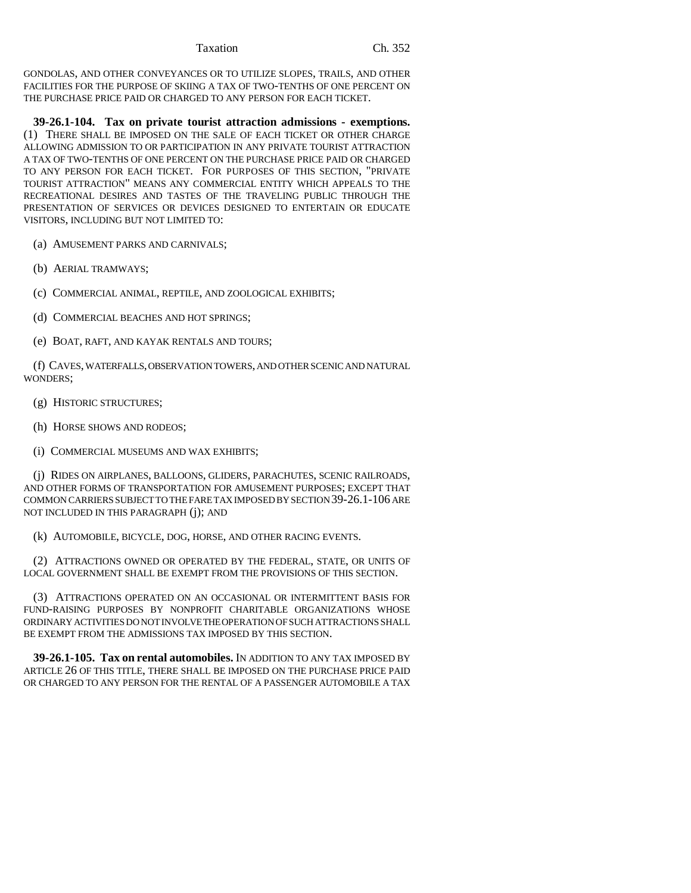GONDOLAS, AND OTHER CONVEYANCES OR TO UTILIZE SLOPES, TRAILS, AND OTHER FACILITIES FOR THE PURPOSE OF SKIING A TAX OF TWO-TENTHS OF ONE PERCENT ON THE PURCHASE PRICE PAID OR CHARGED TO ANY PERSON FOR EACH TICKET.

**39-26.1-104. Tax on private tourist attraction admissions - exemptions.** (1) THERE SHALL BE IMPOSED ON THE SALE OF EACH TICKET OR OTHER CHARGE ALLOWING ADMISSION TO OR PARTICIPATION IN ANY PRIVATE TOURIST ATTRACTION A TAX OF TWO-TENTHS OF ONE PERCENT ON THE PURCHASE PRICE PAID OR CHARGED TO ANY PERSON FOR EACH TICKET. FOR PURPOSES OF THIS SECTION, "PRIVATE TOURIST ATTRACTION" MEANS ANY COMMERCIAL ENTITY WHICH APPEALS TO THE RECREATIONAL DESIRES AND TASTES OF THE TRAVELING PUBLIC THROUGH THE PRESENTATION OF SERVICES OR DEVICES DESIGNED TO ENTERTAIN OR EDUCATE VISITORS, INCLUDING BUT NOT LIMITED TO:

(a) AMUSEMENT PARKS AND CARNIVALS;

- (b) AERIAL TRAMWAYS;
- (c) COMMERCIAL ANIMAL, REPTILE, AND ZOOLOGICAL EXHIBITS;
- (d) COMMERCIAL BEACHES AND HOT SPRINGS;
- (e) BOAT, RAFT, AND KAYAK RENTALS AND TOURS;

(f) CAVES, WATERFALLS, OBSERVATION TOWERS, AND OTHER SCENIC AND NATURAL WONDERS;

- (g) HISTORIC STRUCTURES;
- (h) HORSE SHOWS AND RODEOS;
- (i) COMMERCIAL MUSEUMS AND WAX EXHIBITS;

(j) RIDES ON AIRPLANES, BALLOONS, GLIDERS, PARACHUTES, SCENIC RAILROADS, AND OTHER FORMS OF TRANSPORTATION FOR AMUSEMENT PURPOSES; EXCEPT THAT COMMON CARRIERS SUBJECT TO THE FARE TAX IMPOSED BY SECTION 39-26.1-106 ARE NOT INCLUDED IN THIS PARAGRAPH (j); AND

(k) AUTOMOBILE, BICYCLE, DOG, HORSE, AND OTHER RACING EVENTS.

(2) ATTRACTIONS OWNED OR OPERATED BY THE FEDERAL, STATE, OR UNITS OF LOCAL GOVERNMENT SHALL BE EXEMPT FROM THE PROVISIONS OF THIS SECTION.

(3) ATTRACTIONS OPERATED ON AN OCCASIONAL OR INTERMITTENT BASIS FOR FUND-RAISING PURPOSES BY NONPROFIT CHARITABLE ORGANIZATIONS WHOSE ORDINARY ACTIVITIES DO NOT INVOLVE THE OPERATION OF SUCH ATTRACTIONS SHALL BE EXEMPT FROM THE ADMISSIONS TAX IMPOSED BY THIS SECTION.

**39-26.1-105. Tax on rental automobiles.** IN ADDITION TO ANY TAX IMPOSED BY ARTICLE 26 OF THIS TITLE, THERE SHALL BE IMPOSED ON THE PURCHASE PRICE PAID OR CHARGED TO ANY PERSON FOR THE RENTAL OF A PASSENGER AUTOMOBILE A TAX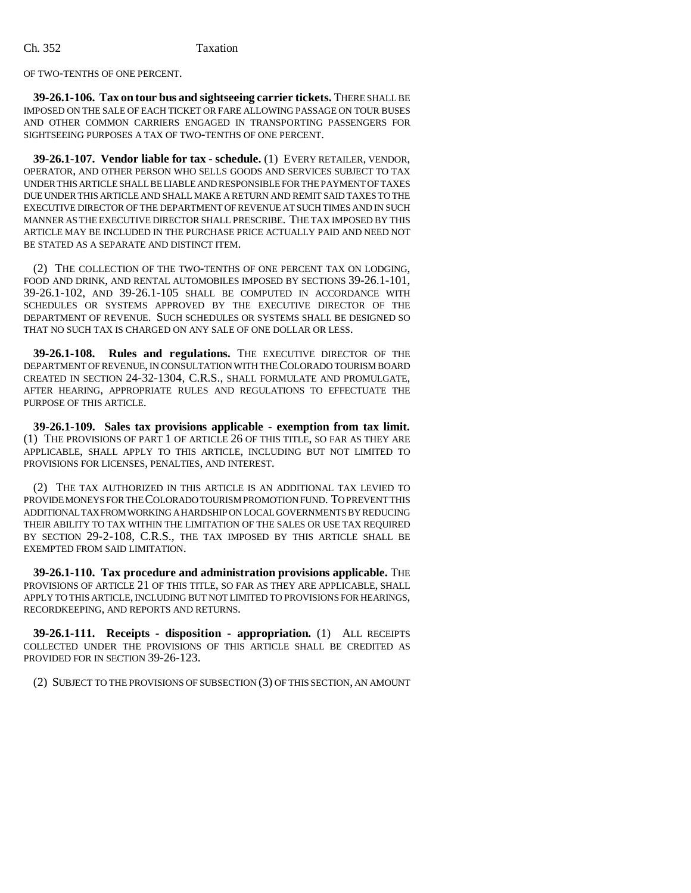OF TWO-TENTHS OF ONE PERCENT.

**39-26.1-106. Tax on tour bus and sightseeing carrier tickets.** THERE SHALL BE IMPOSED ON THE SALE OF EACH TICKET OR FARE ALLOWING PASSAGE ON TOUR BUSES AND OTHER COMMON CARRIERS ENGAGED IN TRANSPORTING PASSENGERS FOR SIGHTSEEING PURPOSES A TAX OF TWO-TENTHS OF ONE PERCENT.

**39-26.1-107. Vendor liable for tax - schedule.** (1) EVERY RETAILER, VENDOR, OPERATOR, AND OTHER PERSON WHO SELLS GOODS AND SERVICES SUBJECT TO TAX UNDER THIS ARTICLE SHALL BE LIABLE AND RESPONSIBLE FOR THE PAYMENT OF TAXES DUE UNDER THIS ARTICLE AND SHALL MAKE A RETURN AND REMIT SAID TAXES TO THE EXECUTIVE DIRECTOR OF THE DEPARTMENT OF REVENUE AT SUCH TIMES AND IN SUCH MANNER AS THE EXECUTIVE DIRECTOR SHALL PRESCRIBE. THE TAX IMPOSED BY THIS ARTICLE MAY BE INCLUDED IN THE PURCHASE PRICE ACTUALLY PAID AND NEED NOT BE STATED AS A SEPARATE AND DISTINCT ITEM.

(2) THE COLLECTION OF THE TWO-TENTHS OF ONE PERCENT TAX ON LODGING, FOOD AND DRINK, AND RENTAL AUTOMOBILES IMPOSED BY SECTIONS 39-26.1-101, 39-26.1-102, AND 39-26.1-105 SHALL BE COMPUTED IN ACCORDANCE WITH SCHEDULES OR SYSTEMS APPROVED BY THE EXECUTIVE DIRECTOR OF THE DEPARTMENT OF REVENUE. SUCH SCHEDULES OR SYSTEMS SHALL BE DESIGNED SO THAT NO SUCH TAX IS CHARGED ON ANY SALE OF ONE DOLLAR OR LESS.

**39-26.1-108. Rules and regulations.** THE EXECUTIVE DIRECTOR OF THE DEPARTMENT OF REVENUE, IN CONSULTATION WITH THE COLORADO TOURISM BOARD CREATED IN SECTION 24-32-1304, C.R.S., SHALL FORMULATE AND PROMULGATE, AFTER HEARING, APPROPRIATE RULES AND REGULATIONS TO EFFECTUATE THE PURPOSE OF THIS ARTICLE.

**39-26.1-109. Sales tax provisions applicable - exemption from tax limit.** (1) THE PROVISIONS OF PART 1 OF ARTICLE 26 OF THIS TITLE, SO FAR AS THEY ARE APPLICABLE, SHALL APPLY TO THIS ARTICLE, INCLUDING BUT NOT LIMITED TO PROVISIONS FOR LICENSES, PENALTIES, AND INTEREST.

(2) THE TAX AUTHORIZED IN THIS ARTICLE IS AN ADDITIONAL TAX LEVIED TO PROVIDE MONEYS FOR THE COLORADO TOURISM PROMOTION FUND. TO PREVENT THIS ADDITIONAL TAX FROM WORKING A HARDSHIP ON LOCAL GOVERNMENTS BY REDUCING THEIR ABILITY TO TAX WITHIN THE LIMITATION OF THE SALES OR USE TAX REQUIRED BY SECTION 29-2-108, C.R.S., THE TAX IMPOSED BY THIS ARTICLE SHALL BE EXEMPTED FROM SAID LIMITATION.

**39-26.1-110. Tax procedure and administration provisions applicable.** THE PROVISIONS OF ARTICLE 21 OF THIS TITLE, SO FAR AS THEY ARE APPLICABLE, SHALL APPLY TO THIS ARTICLE, INCLUDING BUT NOT LIMITED TO PROVISIONS FOR HEARINGS, RECORDKEEPING, AND REPORTS AND RETURNS.

**39-26.1-111. Receipts - disposition - appropriation.** (1) ALL RECEIPTS COLLECTED UNDER THE PROVISIONS OF THIS ARTICLE SHALL BE CREDITED AS PROVIDED FOR IN SECTION 39-26-123.

(2) SUBJECT TO THE PROVISIONS OF SUBSECTION (3) OF THIS SECTION, AN AMOUNT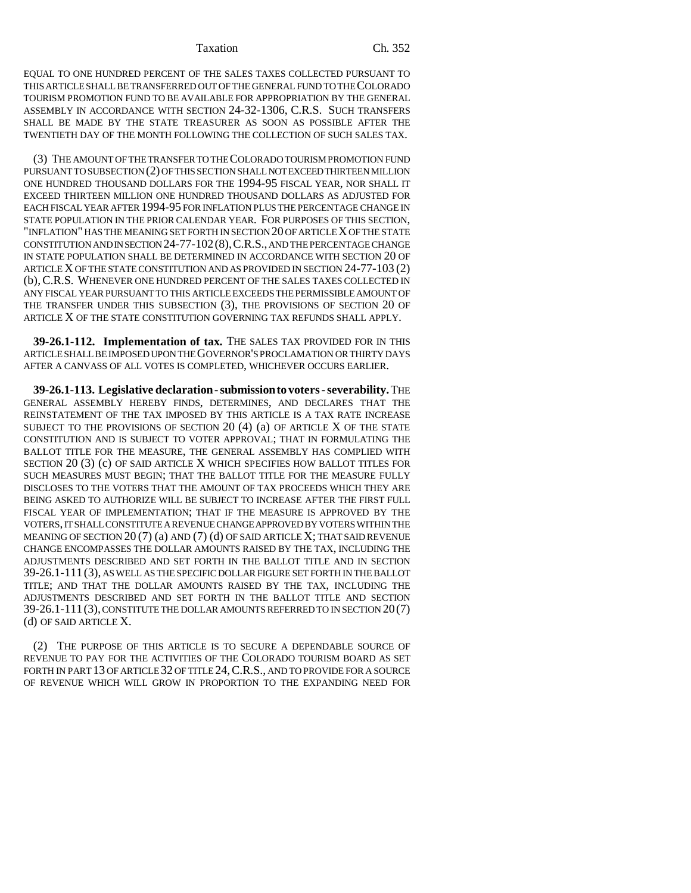#### Taxation Ch. 352

EQUAL TO ONE HUNDRED PERCENT OF THE SALES TAXES COLLECTED PURSUANT TO THIS ARTICLE SHALL BE TRANSFERRED OUT OF THE GENERAL FUND TO THE COLORADO TOURISM PROMOTION FUND TO BE AVAILABLE FOR APPROPRIATION BY THE GENERAL ASSEMBLY IN ACCORDANCE WITH SECTION 24-32-1306, C.R.S. SUCH TRANSFERS SHALL BE MADE BY THE STATE TREASURER AS SOON AS POSSIBLE AFTER THE TWENTIETH DAY OF THE MONTH FOLLOWING THE COLLECTION OF SUCH SALES TAX.

(3) THE AMOUNT OF THE TRANSFER TO THE COLORADO TOURISM PROMOTION FUND PURSUANT TO SUBSECTION (2) OF THIS SECTION SHALL NOT EXCEED THIRTEEN MILLION ONE HUNDRED THOUSAND DOLLARS FOR THE 1994-95 FISCAL YEAR, NOR SHALL IT EXCEED THIRTEEN MILLION ONE HUNDRED THOUSAND DOLLARS AS ADJUSTED FOR EACH FISCAL YEAR AFTER 1994-95 FOR INFLATION PLUS THE PERCENTAGE CHANGE IN STATE POPULATION IN THE PRIOR CALENDAR YEAR. FOR PURPOSES OF THIS SECTION, "INFLATION" HAS THE MEANING SET FORTH IN SECTION 20 OF ARTICLE X OF THE STATE CONSTITUTION AND IN SECTION 24-77-102(8),C.R.S., AND THE PERCENTAGE CHANGE IN STATE POPULATION SHALL BE DETERMINED IN ACCORDANCE WITH SECTION 20 OF ARTICLE X OF THE STATE CONSTITUTION AND AS PROVIDED IN SECTION 24-77-103 (2) (b),C.R.S. WHENEVER ONE HUNDRED PERCENT OF THE SALES TAXES COLLECTED IN ANY FISCAL YEAR PURSUANT TO THIS ARTICLE EXCEEDS THE PERMISSIBLE AMOUNT OF THE TRANSFER UNDER THIS SUBSECTION (3), THE PROVISIONS OF SECTION 20 OF ARTICLE X OF THE STATE CONSTITUTION GOVERNING TAX REFUNDS SHALL APPLY.

**39-26.1-112. Implementation of tax.** THE SALES TAX PROVIDED FOR IN THIS ARTICLE SHALL BE IMPOSED UPON THE GOVERNOR'S PROCLAMATION OR THIRTY DAYS AFTER A CANVASS OF ALL VOTES IS COMPLETED, WHICHEVER OCCURS EARLIER.

**39-26.1-113. Legislative declaration - submission to voters - severability.** THE GENERAL ASSEMBLY HEREBY FINDS, DETERMINES, AND DECLARES THAT THE REINSTATEMENT OF THE TAX IMPOSED BY THIS ARTICLE IS A TAX RATE INCREASE SUBJECT TO THE PROVISIONS OF SECTION 20 (4) (a) OF ARTICLE X OF THE STATE CONSTITUTION AND IS SUBJECT TO VOTER APPROVAL; THAT IN FORMULATING THE BALLOT TITLE FOR THE MEASURE, THE GENERAL ASSEMBLY HAS COMPLIED WITH SECTION 20 (3) (c) OF SAID ARTICLE X WHICH SPECIFIES HOW BALLOT TITLES FOR SUCH MEASURES MUST BEGIN; THAT THE BALLOT TITLE FOR THE MEASURE FULLY DISCLOSES TO THE VOTERS THAT THE AMOUNT OF TAX PROCEEDS WHICH THEY ARE BEING ASKED TO AUTHORIZE WILL BE SUBJECT TO INCREASE AFTER THE FIRST FULL FISCAL YEAR OF IMPLEMENTATION; THAT IF THE MEASURE IS APPROVED BY THE VOTERS, IT SHALL CONSTITUTE A REVENUE CHANGE APPROVED BY VOTERS WITHIN THE MEANING OF SECTION  $20(7)$  (a) AND (7) (d) OF SAID ARTICLE X; THAT SAID REVENUE CHANGE ENCOMPASSES THE DOLLAR AMOUNTS RAISED BY THE TAX, INCLUDING THE ADJUSTMENTS DESCRIBED AND SET FORTH IN THE BALLOT TITLE AND IN SECTION 39-26.1-111 (3), AS WELL AS THE SPECIFIC DOLLAR FIGURE SET FORTH IN THE BALLOT TITLE; AND THAT THE DOLLAR AMOUNTS RAISED BY THE TAX, INCLUDING THE ADJUSTMENTS DESCRIBED AND SET FORTH IN THE BALLOT TITLE AND SECTION 39-26.1-111(3), CONSTITUTE THE DOLLAR AMOUNTS REFERRED TO IN SECTION 20(7) (d) OF SAID ARTICLE X.

(2) THE PURPOSE OF THIS ARTICLE IS TO SECURE A DEPENDABLE SOURCE OF REVENUE TO PAY FOR THE ACTIVITIES OF THE COLORADO TOURISM BOARD AS SET FORTH IN PART 13 OF ARTICLE 32 OF TITLE 24, C.R.S., AND TO PROVIDE FOR A SOURCE OF REVENUE WHICH WILL GROW IN PROPORTION TO THE EXPANDING NEED FOR